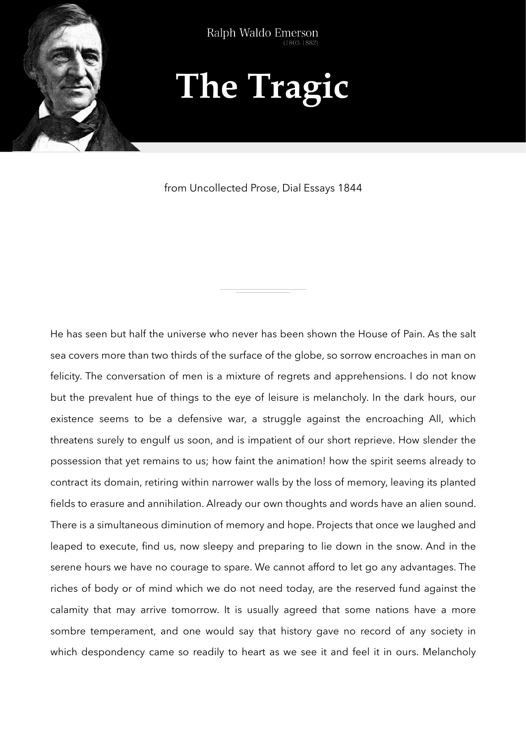

## **The Tragic**

from Uncollected Prose, Dial Essays 1844

He has seen but half the universe who never has been shown the House of Pain. As the salt sea covers more than two thirds of the surface of the globe, so sorrow encroaches in man on felicity. The conversation of men is a mixture of regrets and apprehensions. I do not know but the prevalent hue of things to the eye of leisure is melancholy. In the dark hours, our existence seems to be a defensive war, a struggle against the encroaching All, which threatens surely to engulf us soon, and is impatient of our short reprieve. How slender the possession that yet remains to us; how faint the animation! how the spirit seems already to contract its domain, retiring within narrower walls by the loss of memory, leaving its planted fields to erasure and annihilation. Already our own thoughts and words have an alien sound. There is a simultaneous diminution of memory and hope. Projects that once we laughed and leaped to execute, find us, now sleepy and preparing to lie down in the snow. And in the serene hours we have no courage to spare. We cannot afford to let go any advantages. The riches of body or of mind which we do not need today, are the reserved fund against the calamity that may arrive tomorrow. It is usually agreed that some nations have a more sombre temperament, and one would say that history gave no record of any society in which despondency came so readily to heart as we see it and feel it in ours. Melancholy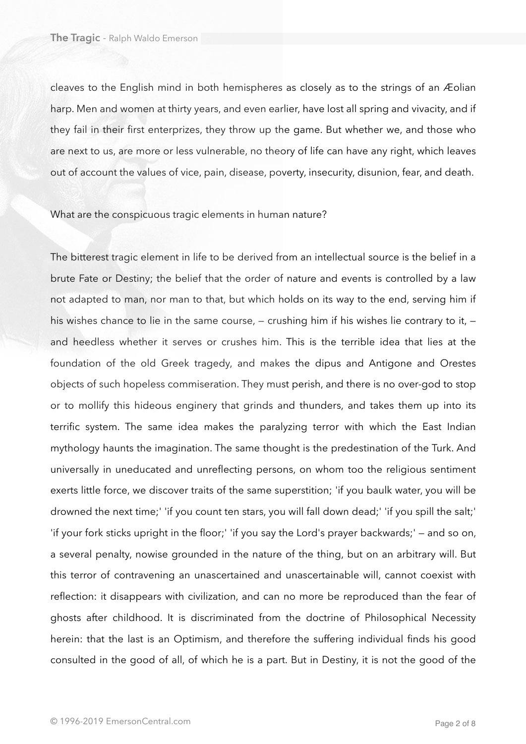cleaves to the English mind in both hemispheres as closely as to the strings of an Æolian harp. Men and women at thirty years, and even earlier, have lost all spring and vivacity, and if they fail in their first enterprizes, they throw up the game. But whether we, and those who are next to us, are more or less vulnerable, no theory of life can have any right, which leaves out of account the values of vice, pain, disease, poverty, insecurity, disunion, fear, and death.

## What are the conspicuous tragic elements in human nature?

The bitterest tragic element in life to be derived from an intellectual source is the belief in a brute Fate or Destiny; the belief that the order of nature and events is controlled by a law not adapted to man, nor man to that, but which holds on its way to the end, serving him if his wishes chance to lie in the same course, – crushing him if his wishes lie contrary to it, – and heedless whether it serves or crushes him. This is the terrible idea that lies at the foundation of the old Greek tragedy, and makes the dipus and Antigone and Orestes objects of such hopeless commiseration. They must perish, and there is no over-god to stop or to mollify this hideous enginery that grinds and thunders, and takes them up into its terrific system. The same idea makes the paralyzing terror with which the East Indian mythology haunts the imagination. The same thought is the predestination of the Turk. And universally in uneducated and unreflecting persons, on whom too the religious sentiment exerts little force, we discover traits of the same superstition; 'if you baulk water, you will be drowned the next time;' 'if you count ten stars, you will fall down dead;' 'if you spill the salt;' 'if your fork sticks upright in the floor;' 'if you say the Lord's prayer backwards;' — and so on, a several penalty, nowise grounded in the nature of the thing, but on an arbitrary will. But this terror of contravening an unascertained and unascertainable will, cannot coexist with reflection: it disappears with civilization, and can no more be reproduced than the fear of ghosts after childhood. It is discriminated from the doctrine of Philosophical Necessity herein: that the last is an Optimism, and therefore the suffering individual finds his good consulted in the good of all, of which he is a part. But in Destiny, it is not the good of the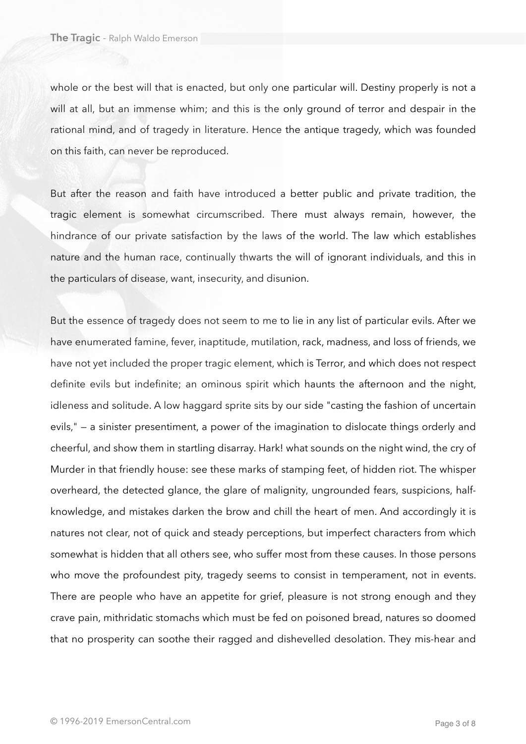whole or the best will that is enacted, but only one particular will. Destiny properly is not a will at all, but an immense whim; and this is the only ground of terror and despair in the rational mind, and of tragedy in literature. Hence the antique tragedy, which was founded on this faith, can never be reproduced.

But after the reason and faith have introduced a better public and private tradition, the tragic element is somewhat circumscribed. There must always remain, however, the hindrance of our private satisfaction by the laws of the world. The law which establishes nature and the human race, continually thwarts the will of ignorant individuals, and this in the particulars of disease, want, insecurity, and disunion.

But the essence of tragedy does not seem to me to lie in any list of particular evils. After we have enumerated famine, fever, inaptitude, mutilation, rack, madness, and loss of friends, we have not yet included the proper tragic element, which is Terror, and which does not respect definite evils but indefinite; an ominous spirit which haunts the afternoon and the night, idleness and solitude. A low haggard sprite sits by our side "casting the fashion of uncertain evils," — a sinister presentiment, a power of the imagination to dislocate things orderly and cheerful, and show them in startling disarray. Hark! what sounds on the night wind, the cry of Murder in that friendly house: see these marks of stamping feet, of hidden riot. The whisper overheard, the detected glance, the glare of malignity, ungrounded fears, suspicions, halfknowledge, and mistakes darken the brow and chill the heart of men. And accordingly it is natures not clear, not of quick and steady perceptions, but imperfect characters from which somewhat is hidden that all others see, who suffer most from these causes. In those persons who move the profoundest pity, tragedy seems to consist in temperament, not in events. There are people who have an appetite for grief, pleasure is not strong enough and they crave pain, mithridatic stomachs which must be fed on poisoned bread, natures so doomed that no prosperity can soothe their ragged and dishevelled desolation. They mis-hear and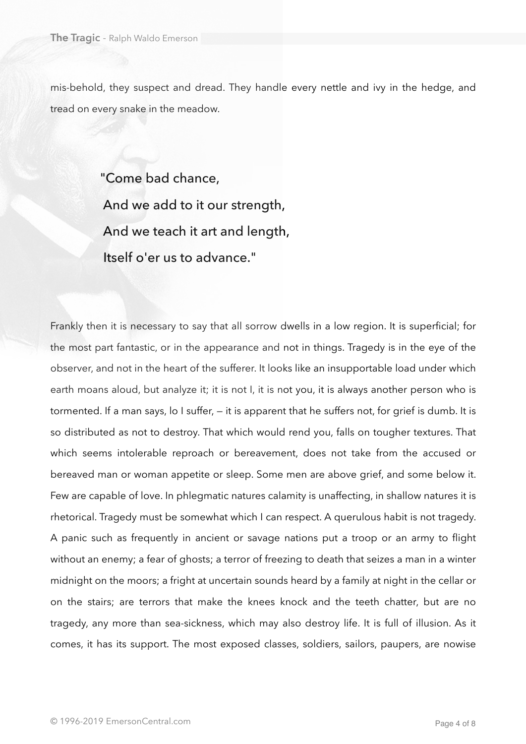mis-behold, they suspect and dread. They handle every nettle and ivy in the hedge, and tread on every snake in the meadow.

> "Come bad chance, And we add to it our strength, And we teach it art and length, Itself o'er us to advance."

Frankly then it is necessary to say that all sorrow dwells in a low region. It is superficial; for the most part fantastic, or in the appearance and not in things. Tragedy is in the eye of the observer, and not in the heart of the sufferer. It looks like an insupportable load under which earth moans aloud, but analyze it; it is not I, it is not you, it is always another person who is tormented. If a man says, lo I suffer, — it is apparent that he suffers not, for grief is dumb. It is so distributed as not to destroy. That which would rend you, falls on tougher textures. That which seems intolerable reproach or bereavement, does not take from the accused or bereaved man or woman appetite or sleep. Some men are above grief, and some below it. Few are capable of love. In phlegmatic natures calamity is unaffecting, in shallow natures it is rhetorical. Tragedy must be somewhat which I can respect. A querulous habit is not tragedy. A panic such as frequently in ancient or savage nations put a troop or an army to flight without an enemy; a fear of ghosts; a terror of freezing to death that seizes a man in a winter midnight on the moors; a fright at uncertain sounds heard by a family at night in the cellar or on the stairs; are terrors that make the knees knock and the teeth chatter, but are no tragedy, any more than sea-sickness, which may also destroy life. It is full of illusion. As it comes, it has its support. The most exposed classes, soldiers, sailors, paupers, are nowise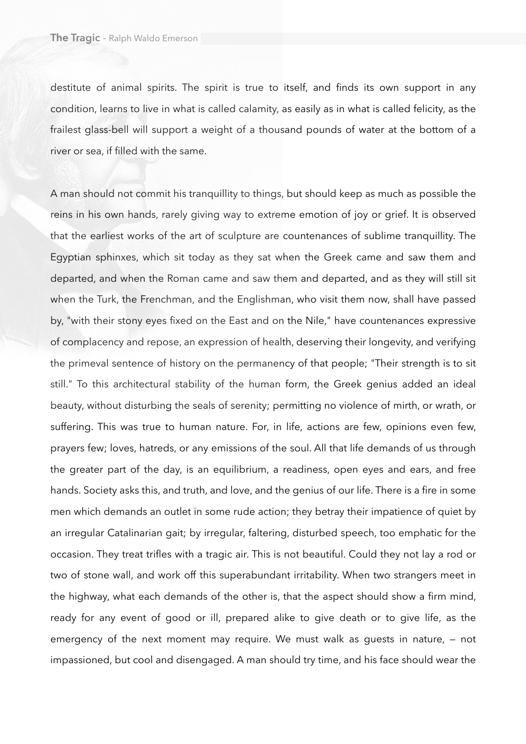destitute of animal spirits. The spirit is true to itself, and finds its own support in any condition, learns to live in what is called calamity, as easily as in what is called felicity, as the frailest glass-bell will support a weight of a thousand pounds of water at the bottom of a river or sea, if filled with the same.

A man should not commit his tranquillity to things, but should keep as much as possible the reins in his own hands, rarely giving way to extreme emotion of joy or grief. It is observed that the earliest works of the art of sculpture are countenances of sublime tranquillity. The Egyptian sphinxes, which sit today as they sat when the Greek came and saw them and departed, and when the Roman came and saw them and departed, and as they will still sit when the Turk, the Frenchman, and the Englishman, who visit them now, shall have passed by, "with their stony eyes fixed on the East and on the Nile," have countenances expressive of complacency and repose, an expression of health, deserving their longevity, and verifying the primeval sentence of history on the permanency of that people; "Their strength is to sit still." To this architectural stability of the human form, the Greek genius added an ideal beauty, without disturbing the seals of serenity; permitting no violence of mirth, or wrath, or suffering. This was true to human nature. For, in life, actions are few, opinions even few, prayers few; loves, hatreds, or any emissions of the soul. All that life demands of us through the greater part of the day, is an equilibrium, a readiness, open eyes and ears, and free hands. Society asks this, and truth, and love, and the genius of our life. There is a fire in some men which demands an outlet in some rude action; they betray their impatience of quiet by an irregular Catalinarian gait; by irregular, faltering, disturbed speech, too emphatic for the occasion. They treat trifles with a tragic air. This is not beautiful. Could they not lay a rod or two of stone wall, and work off this superabundant irritability. When two strangers meet in the highway, what each demands of the other is, that the aspect should show a firm mind, ready for any event of good or ill, prepared alike to give death or to give life, as the emergency of the next moment may require. We must walk as guests in nature, — not impassioned, but cool and disengaged. A man should try time, and his face should wear the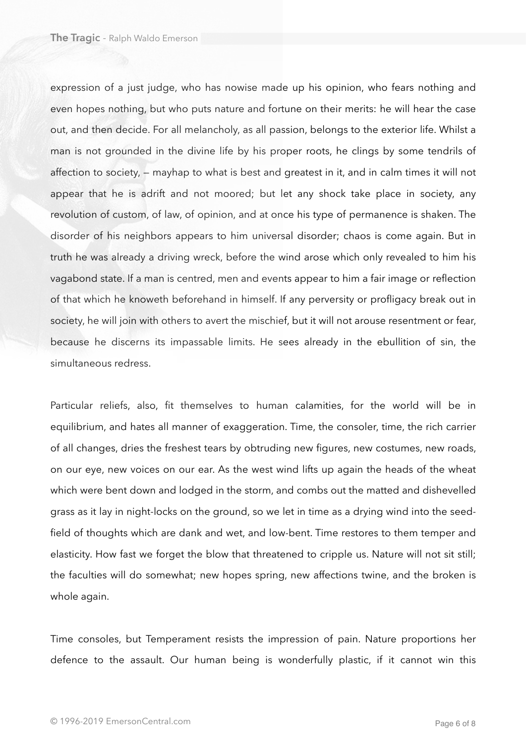expression of a just judge, who has nowise made up his opinion, who fears nothing and even hopes nothing, but who puts nature and fortune on their merits: he will hear the case out, and then decide. For all melancholy, as all passion, belongs to the exterior life. Whilst a man is not grounded in the divine life by his proper roots, he clings by some tendrils of affection to society, — mayhap to what is best and greatest in it, and in calm times it will not appear that he is adrift and not moored; but let any shock take place in society, any revolution of custom, of law, of opinion, and at once his type of permanence is shaken. The disorder of his neighbors appears to him universal disorder; chaos is come again. But in truth he was already a driving wreck, before the wind arose which only revealed to him his vagabond state. If a man is centred, men and events appear to him a fair image or reflection of that which he knoweth beforehand in himself. If any perversity or profligacy break out in society, he will join with others to avert the mischief, but it will not arouse resentment or fear, because he discerns its impassable limits. He sees already in the ebullition of sin, the simultaneous redress.

Particular reliefs, also, fit themselves to human calamities, for the world will be in equilibrium, and hates all manner of exaggeration. Time, the consoler, time, the rich carrier of all changes, dries the freshest tears by obtruding new figures, new costumes, new roads, on our eye, new voices on our ear. As the west wind lifts up again the heads of the wheat which were bent down and lodged in the storm, and combs out the matted and dishevelled grass as it lay in night-locks on the ground, so we let in time as a drying wind into the seedfield of thoughts which are dank and wet, and low-bent. Time restores to them temper and elasticity. How fast we forget the blow that threatened to cripple us. Nature will not sit still; the faculties will do somewhat; new hopes spring, new affections twine, and the broken is whole again.

Time consoles, but Temperament resists the impression of pain. Nature proportions her defence to the assault. Our human being is wonderfully plastic, if it cannot win this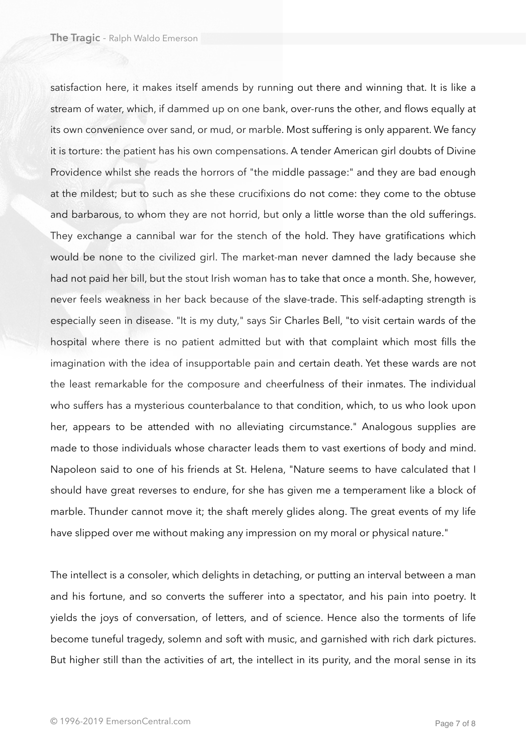satisfaction here, it makes itself amends by running out there and winning that. It is like a stream of water, which, if dammed up on one bank, over-runs the other, and flows equally at its own convenience over sand, or mud, or marble. Most suffering is only apparent. We fancy it is torture: the patient has his own compensations. A tender American girl doubts of Divine Providence whilst she reads the horrors of "the middle passage:" and they are bad enough at the mildest; but to such as she these crucifixions do not come: they come to the obtuse and barbarous, to whom they are not horrid, but only a little worse than the old sufferings. They exchange a cannibal war for the stench of the hold. They have gratifications which would be none to the civilized girl. The market-man never damned the lady because she had not paid her bill, but the stout Irish woman has to take that once a month. She, however, never feels weakness in her back because of the slave-trade. This self-adapting strength is especially seen in disease. "It is my duty," says Sir Charles Bell, "to visit certain wards of the hospital where there is no patient admitted but with that complaint which most fills the imagination with the idea of insupportable pain and certain death. Yet these wards are not the least remarkable for the composure and cheerfulness of their inmates. The individual who suffers has a mysterious counterbalance to that condition, which, to us who look upon her, appears to be attended with no alleviating circumstance." Analogous supplies are made to those individuals whose character leads them to vast exertions of body and mind. Napoleon said to one of his friends at St. Helena, "Nature seems to have calculated that I should have great reverses to endure, for she has given me a temperament like a block of marble. Thunder cannot move it; the shaft merely glides along. The great events of my life have slipped over me without making any impression on my moral or physical nature."

The intellect is a consoler, which delights in detaching, or putting an interval between a man and his fortune, and so converts the sufferer into a spectator, and his pain into poetry. It yields the joys of conversation, of letters, and of science. Hence also the torments of life become tuneful tragedy, solemn and soft with music, and garnished with rich dark pictures. But higher still than the activities of art, the intellect in its purity, and the moral sense in its